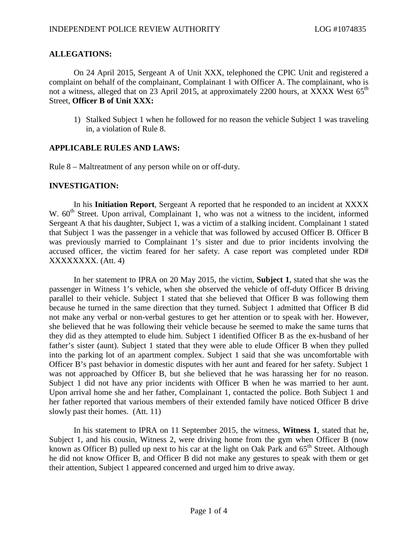## **ALLEGATIONS:**

On 24 April 2015, Sergeant A of Unit XXX, telephoned the CPIC Unit and registered a complaint on behalf of the complainant, Complainant 1 with Officer A. The complainant, who is not a witness, alleged that on 23 April 2015, at approximately 2200 hours, at XXXX West 65<sup>th</sup> Street, **Officer B of Unit XXX:**

1) Stalked Subject 1 when he followed for no reason the vehicle Subject 1 was traveling in, a violation of Rule 8.

## **APPLICABLE RULES AND LAWS:**

Rule 8 – Maltreatment of any person while on or off-duty.

## **INVESTIGATION:**

In his **Initiation Report**, Sergeant A reported that he responded to an incident at XXXX W. 60<sup>th</sup> Street. Upon arrival, Complainant 1, who was not a witness to the incident, informed Sergeant A that his daughter, Subject 1, was a victim of a stalking incident. Complainant 1 stated that Subject 1 was the passenger in a vehicle that was followed by accused Officer B. Officer B was previously married to Complainant 1's sister and due to prior incidents involving the accused officer, the victim feared for her safety. A case report was completed under RD# XXXXXXXX. (Att. 4)

In her statement to IPRA on 20 May 2015, the victim, **Subject 1**, stated that she was the passenger in Witness 1's vehicle, when she observed the vehicle of off-duty Officer B driving parallel to their vehicle. Subject 1 stated that she believed that Officer B was following them because he turned in the same direction that they turned. Subject 1 admitted that Officer B did not make any verbal or non-verbal gestures to get her attention or to speak with her. However, she believed that he was following their vehicle because he seemed to make the same turns that they did as they attempted to elude him. Subject 1 identified Officer B as the ex-husband of her father's sister (aunt). Subject 1 stated that they were able to elude Officer B when they pulled into the parking lot of an apartment complex. Subject 1 said that she was uncomfortable with Officer B's past behavior in domestic disputes with her aunt and feared for her safety. Subject 1 was not approached by Officer B, but she believed that he was harassing her for no reason. Subject 1 did not have any prior incidents with Officer B when he was married to her aunt. Upon arrival home she and her father, Complainant 1, contacted the police. Both Subject 1 and her father reported that various members of their extended family have noticed Officer B drive slowly past their homes. (Att. 11)

In his statement to IPRA on 11 September 2015, the witness, **Witness 1**, stated that he, Subject 1, and his cousin, Witness 2, were driving home from the gym when Officer B (now known as Officer B) pulled up next to his car at the light on Oak Park and 65<sup>th</sup> Street. Although he did not know Officer B, and Officer B did not make any gestures to speak with them or get their attention, Subject 1 appeared concerned and urged him to drive away.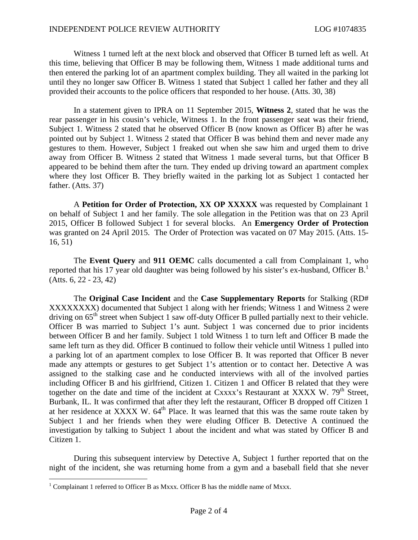Witness 1 turned left at the next block and observed that Officer B turned left as well. At this time, believing that Officer B may be following them, Witness 1 made additional turns and then entered the parking lot of an apartment complex building. They all waited in the parking lot until they no longer saw Officer B. Witness 1 stated that Subject 1 called her father and they all provided their accounts to the police officers that responded to her house. (Atts. 30, 38)

In a statement given to IPRA on 11 September 2015, **Witness 2**, stated that he was the rear passenger in his cousin's vehicle, Witness 1. In the front passenger seat was their friend, Subject 1. Witness 2 stated that he observed Officer B (now known as Officer B) after he was pointed out by Subject 1. Witness 2 stated that Officer B was behind them and never made any gestures to them. However, Subject 1 freaked out when she saw him and urged them to drive away from Officer B. Witness 2 stated that Witness 1 made several turns, but that Officer B appeared to be behind them after the turn. They ended up driving toward an apartment complex where they lost Officer B. They briefly waited in the parking lot as Subject 1 contacted her father. (Atts. 37)

A **Petition for Order of Protection, XX OP XXXXX** was requested by Complainant 1 on behalf of Subject 1 and her family. The sole allegation in the Petition was that on 23 April 2015, Officer B followed Subject 1 for several blocks. An **Emergency Order of Protection** was granted on 24 April 2015. The Order of Protection was vacated on 07 May 2015. (Atts. 15- 16, 51)

The **Event Query** and **911 OEMC** calls documented a call from Complainant 1, who reportedthat his 17 year old daughter was being followed by his sister's ex-husband, Officer B.<sup>1</sup> (Atts. 6, 22 - 23, 42)

The **Original Case Incident** and the **Case Supplementary Reports** for Stalking (RD# XXXXXXXX) documented that Subject 1 along with her friends; Witness 1 and Witness 2 were driving on  $65<sup>th</sup>$  street when Subject 1 saw off-duty Officer B pulled partially next to their vehicle. Officer B was married to Subject 1's aunt. Subject 1 was concerned due to prior incidents between Officer B and her family. Subject 1 told Witness 1 to turn left and Officer B made the same left turn as they did. Officer B continued to follow their vehicle until Witness 1 pulled into a parking lot of an apartment complex to lose Officer B. It was reported that Officer B never made any attempts or gestures to get Subject 1's attention or to contact her. Detective A was assigned to the stalking case and he conducted interviews with all of the involved parties including Officer B and his girlfriend, Citizen 1. Citizen 1 and Officer B related that they were together on the date and time of the incident at Cxxxx's Restaurant at XXXX W.  $79<sup>th</sup>$  Street, Burbank, IL. It was confirmed that after they left the restaurant, Officer B dropped off Citizen 1 at her residence at XXXX W.  $64<sup>th</sup>$  Place. It was learned that this was the same route taken by Subject 1 and her friends when they were eluding Officer B. Detective A continued the investigation by talking to Subject 1 about the incident and what was stated by Officer B and Citizen 1.

During this subsequent interview by Detective A, Subject 1 further reported that on the night of the incident, she was returning home from a gym and a baseball field that she never

<span id="page-1-0"></span> $1$  Complainant 1 referred to Officer B as Mxxx. Officer B has the middle name of Mxxx.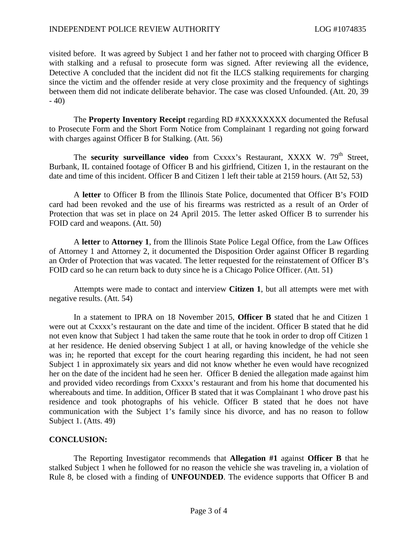visited before. It was agreed by Subject 1 and her father not to proceed with charging Officer B with stalking and a refusal to prosecute form was signed. After reviewing all the evidence, Detective A concluded that the incident did not fit the ILCS stalking requirements for charging since the victim and the offender reside at very close proximity and the frequency of sightings between them did not indicate deliberate behavior. The case was closed Unfounded. (Att. 20, 39  $-40$ 

The **Property Inventory Receipt** regarding RD #XXXXXXXX documented the Refusal to Prosecute Form and the Short Form Notice from Complainant 1 regarding not going forward with charges against Officer B for Stalking. (Att. 56)

The **security surveillance video** from Cxxxx's Restaurant, XXXX W. 79<sup>th</sup> Street, Burbank, IL contained footage of Officer B and his girlfriend, Citizen 1, in the restaurant on the date and time of this incident. Officer B and Citizen 1 left their table at 2159 hours. (Att 52, 53)

A **letter** to Officer B from the Illinois State Police, documented that Officer B's FOID card had been revoked and the use of his firearms was restricted as a result of an Order of Protection that was set in place on 24 April 2015. The letter asked Officer B to surrender his FOID card and weapons. (Att. 50)

A **letter** to **Attorney 1**, from the Illinois State Police Legal Office, from the Law Offices of Attorney 1 and Attorney 2, it documented the Disposition Order against Officer B regarding an Order of Protection that was vacated. The letter requested for the reinstatement of Officer B's FOID card so he can return back to duty since he is a Chicago Police Officer. (Att. 51)

Attempts were made to contact and interview **Citizen 1**, but all attempts were met with negative results. (Att. 54)

In a statement to IPRA on 18 November 2015, **Officer B** stated that he and Citizen 1 were out at Cxxxx's restaurant on the date and time of the incident. Officer B stated that he did not even know that Subject 1 had taken the same route that he took in order to drop off Citizen 1 at her residence. He denied observing Subject 1 at all, or having knowledge of the vehicle she was in; he reported that except for the court hearing regarding this incident, he had not seen Subject 1 in approximately six years and did not know whether he even would have recognized her on the date of the incident had he seen her. Officer B denied the allegation made against him and provided video recordings from Cxxxx's restaurant and from his home that documented his whereabouts and time. In addition, Officer B stated that it was Complainant 1 who drove past his residence and took photographs of his vehicle. Officer B stated that he does not have communication with the Subject 1's family since his divorce, and has no reason to follow Subject 1. (Atts. 49)

## **CONCLUSION:**

The Reporting Investigator recommends that **Allegation #1** against **Officer B** that he stalked Subject 1 when he followed for no reason the vehicle she was traveling in, a violation of Rule 8, be closed with a finding of **UNFOUNDED**. The evidence supports that Officer B and